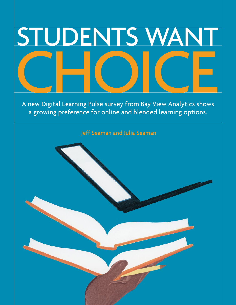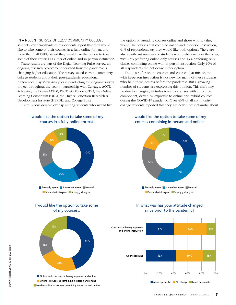#### IN A RECENT SURVEY OF 1,277 COMMUNITY COLLEGE

students, over two-thirds of respondents report that they would like to take some of their courses in a fully online format, and more than half (58%) stated they would like the option to take some of their courses as a mix of online and in-person instruction.

These results are part of the Digital Learning Pulse survey, an ongoing research project to understand how the pandemic is changing higher education. The survey asked current community college students about their post-pandemic educational preferences. Bay View Analytics is conducting the ongoing survey project throughout the year in partnership with Cengage, ACCT, Achieving the Dream (ATD), Phi Theta Kappa (PTK), the Online Learning Consortium (OLC), the Higher Education Research & Development Institute (HERDI), and College Pulse.

There is considerable overlap among students who would like

I would like the option to take some of my

the option of attending courses online and those who say they would like courses that combine online and in-person instruction; 44% of respondents say they would like both options. There are also significant numbers of students who prefer one over the other, with 23% preferring online-only courses and 13% preferring only classes combining online with in-person instruction. Only 19% of all respondents did not desire either option.

 The desire for online courses and courses that mix online with in-person instruction is not new for many of these students. who held these desires before the pandemic. But a growing number of students are expressing this opinion. This shift may be due to changing attitudes towards courses with an online component, driven by exposure to online and hybrid courses during the COVID-19 pandemic. Over 40% of all community college students reported that they are now more optimistic about







44%

19%

13%





## In what way has your attitude changed since prior to the pandemic?



**Online** Courses combining in-person and online **Neither online or courses combining in-person and online** 

**Online and courses combining in-person and online** 

23%